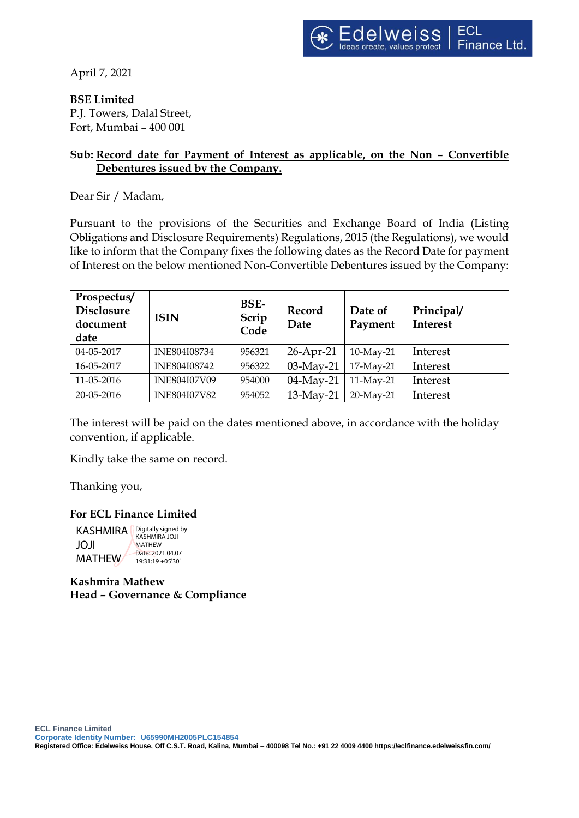April 7, 2021

**BSE Limited**

P.J. Towers, Dalal Street, Fort, Mumbai – 400 001

## **Sub: Record date for Payment of Interest as applicable, on the Non – Convertible Debentures issued by the Company.**

Dear Sir / Madam,

Pursuant to the provisions of the Securities and Exchange Board of India (Listing Obligations and Disclosure Requirements) Regulations, 2015 (the Regulations), we would like to inform that the Company fixes the following dates as the Record Date for payment of Interest on the below mentioned Non-Convertible Debentures issued by the Company:

| Prospectus/<br><b>Disclosure</b><br>document<br>date | <b>ISIN</b>         | <b>BSE-</b><br>Scrip<br>Code | Record<br>Date | Date of<br>Payment | Principal/<br><b>Interest</b> |
|------------------------------------------------------|---------------------|------------------------------|----------------|--------------------|-------------------------------|
| 04-05-2017                                           | INE804I08734        | 956321                       | 26-Apr-21      | 10-May-21          | Interest                      |
| 16-05-2017                                           | <b>INE804I08742</b> | 956322                       | 03-May-21      | 17-May-21          | Interest                      |
| 11-05-2016                                           | <b>INE804I07V09</b> | 954000                       | 04-May-21      | 11-May-21          | Interest                      |
| 20-05-2016                                           | <b>INE804I07V82</b> | 954052                       | 13-May-21      | 20-May-21          | Interest                      |

The interest will be paid on the dates mentioned above, in accordance with the holiday convention, if applicable.

Kindly take the same on record.

Thanking you,

## **For ECL Finance Limited**

KASHMIRA **Digitally signed by** JOJI MATHEW KASHMIRA JOJI MATHEW Date: 2021.04.07  $19.31 \cdot 19 + 05'30'$ 

**Kashmira Mathew Head – Governance & Compliance**